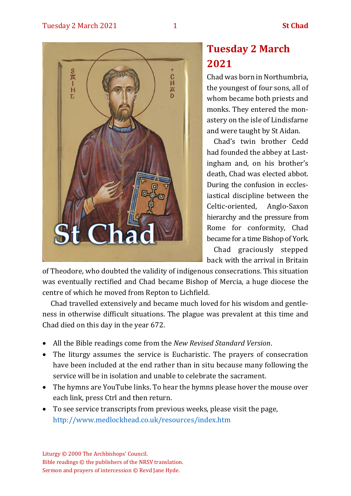

# **Tuesday 2 March 2021**

Chad was born in Northumbria, the youngest of four sons, all of whom became both priests and monks. They entered the monastery on the isle of Lindisfarne and were taught by St Aidan.

Chad's twin brother Cedd had founded the abbey at Lastingham and, on his brother's death, Chad was elected abbot. During the confusion in ecclesiastical discipline between the Celtic-oriented, Anglo-Saxon hierarchy and the pressure from Rome for conformity, Chad became for a time Bishop of York. Chad graciously stepped back with the arrival in Britain

of Theodore, who doubted the validity of indigenous consecrations. This situation was eventually rectified and Chad became Bishop of Mercia, a huge diocese the centre of which he moved from Repton to Lichfield.

Chad travelled extensively and became much loved for his wisdom and gentleness in otherwise difficult situations. The plague was prevalent at this time and Chad died on this day in the year 672.

- All the Bible readings come from the *New Revised Standard Version*.
- The liturgy assumes the service is Eucharistic. The prayers of consecration have been included at the end rather than in situ because many following the service will be in isolation and unable to celebrate the sacrament.
- The hymns are YouTube links. To hear the hymns please hover the mouse over each link, press Ctrl and then return.
- To see service transcripts from previous weeks, please visit the page, <http://www.medlockhead.co.uk/resources/index.htm>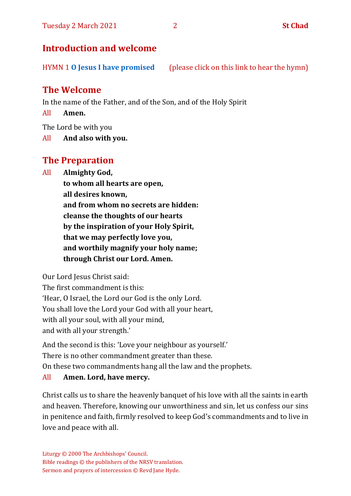# **Introduction and welcome**

HYMN 1 **[O Jesus I have promised](https://www.youtube.com/watch?v=UU_cev2ri90)** (please click on this link to hear the hymn)

# **The Welcome**

In the name of the Father, and of the Son, and of the Holy Spirit

All **Amen.**

The Lord be with you

All **And also with you.**

# **The Preparation**

All **Almighty God,**

**to whom all hearts are open, all desires known, and from whom no secrets are hidden: cleanse the thoughts of our hearts by the inspiration of your Holy Spirit, that we may perfectly love you, and worthily magnify your holy name; through Christ our Lord. Amen.**

Our Lord Jesus Christ said:

The first commandment is this: 'Hear, O Israel, the Lord our God is the only Lord. You shall love the Lord your God with all your heart, with all your soul, with all your mind, and with all your strength.'

And the second is this: 'Love your neighbour as yourself.' There is no other commandment greater than these. On these two commandments hang all the law and the prophets.

#### All **Amen. Lord, have mercy.**

Christ calls us to share the heavenly banquet of his love with all the saints in earth and heaven. Therefore, knowing our unworthiness and sin, let us confess our sins in penitence and faith, firmly resolved to keep God's commandments and to live in love and peace with all.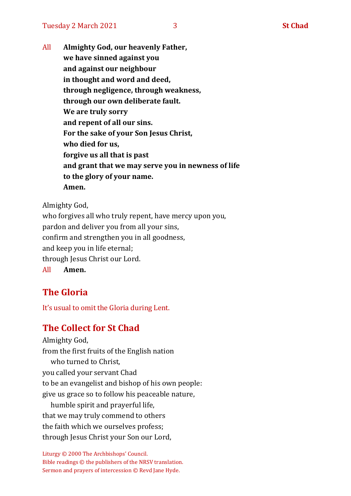All **Almighty God, our heavenly Father, we have sinned against you and against our neighbour in thought and word and deed, through negligence, through weakness, through our own deliberate fault. We are truly sorry and repent of all our sins. For the sake of your Son Jesus Christ, who died for us, forgive us all that is past and grant that we may serve you in newness of life to the glory of your name. Amen.**

Almighty God,

who forgives all who truly repent, have mercy upon you, pardon and deliver you from all your sins, confirm and strengthen you in all goodness, and keep you in life eternal; through Jesus Christ our Lord. All **Amen.**

# **The Gloria**

It's usual to omit the Gloria during Lent.

# **The Collect for St Chad**

Almighty God, from the first fruits of the English nation who turned to Christ, you called your servant Chad to be an evangelist and bishop of his own people: give us grace so to follow his peaceable nature,

humble spirit and prayerful life, that we may truly commend to others the faith which we ourselves profess; through Jesus Christ your Son our Lord,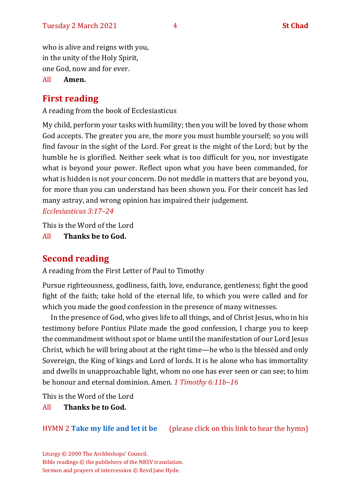who is alive and reigns with you, in the unity of the Holy Spirit, one God, now and for ever.

All **Amen.**

# **First reading**

A reading from the book of Ecclesiasticus

My child, perform your tasks with humility; then you will be loved by those whom God accepts. The greater you are, the more you must humble yourself; so you will find favour in the sight of the Lord. For great is the might of the Lord; but by the humble he is glorified. Neither seek what is too difficult for you, nor investigate what is beyond your power. Reflect upon what you have been commanded, for what is hidden is not your concern. Do not meddle in matters that are beyond you, for more than you can understand has been shown you. For their conceit has led many astray, and wrong opinion has impaired their judgement.

*Ecclesiasticus 3:17–24*

This is the Word of the Lord

All **Thanks be to God.**

# **Second reading**

A reading from the First Letter of Paul to Timothy

Pursue righteousness, godliness, faith, love, endurance, gentleness; fight the good fight of the faith; take hold of the eternal life, to which you were called and for which you made the good confession in the presence of many witnesses.

In the presence of God, who gives life to all things, and of Christ Jesus, who in his testimony before Pontius Pilate made the good confession, I charge you to keep the commandment without spot or blame until the manifestation of our Lord Jesus Christ, which he will bring about at the right time—he who is the blessèd and only Sovereign, the King of kings and Lord of lords. It is he alone who has immortality and dwells in unapproachable light, whom no one has ever seen or can see; to him be honour and eternal dominion. Amen. *1 Timothy 6:11b–16*

This is the Word of the Lord

#### All **Thanks be to God.**

HYMN 2 **[Take my life and let it be](https://www.youtube.com/watch?v=Gf11rReeWIs)** (please click on this link to hear the hymn)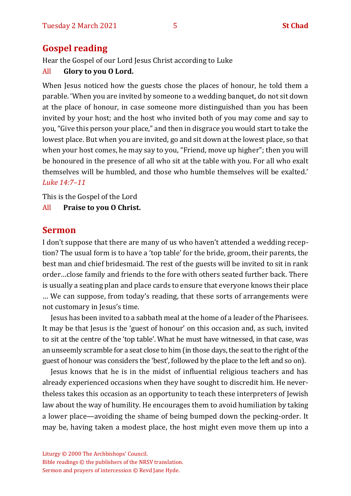### **Gospel reading**

Hear the Gospel of our Lord Jesus Christ according to Luke

#### All **Glory to you O Lord.**

When Jesus noticed how the guests chose the places of honour, he told them a parable. 'When you are invited by someone to a wedding banquet, do not sit down at the place of honour, in case someone more distinguished than you has been invited by your host; and the host who invited both of you may come and say to you, "Give this person your place," and then in disgrace you would start to take the lowest place. But when you are invited, go and sit down at the lowest place, so that when your host comes, he may say to you, "Friend, move up higher"; then you will be honoured in the presence of all who sit at the table with you. For all who exalt themselves will be humbled, and those who humble themselves will be exalted.' *Luke 14:7–11*

This is the Gospel of the Lord

All **Praise to you O Christ.** 

#### **Sermon**

I don't suppose that there are many of us who haven't attended a wedding reception? The usual form is to have a 'top table' for the bride, groom, their parents, the best man and chief bridesmaid. The rest of the guests will be invited to sit in rank order…close family and friends to the fore with others seated further back. There is usually a seating plan and place cards to ensure that everyone knows their place … We can suppose, from today's reading, that these sorts of arrangements were not customary in Jesus's time.

Jesus has been invited to a sabbath meal at the home of a leader of the Pharisees. It may be that Jesus is the 'guest of honour' on this occasion and, as such, invited to sit at the centre of the 'top table'. What he must have witnessed, in that case, was an unseemly scramble for a seat close to him (in those days, the seat to the right of the guest of honour was considers the 'best', followed by the place to the left and so on).

Jesus knows that he is in the midst of influential religious teachers and has already experienced occasions when they have sought to discredit him. He nevertheless takes this occasion as an opportunity to teach these interpreters of Jewish law about the way of humility. He encourages them to avoid humiliation by taking a lower place—avoiding the shame of being bumped down the pecking-order. It may be, having taken a modest place, the host might even move them up into a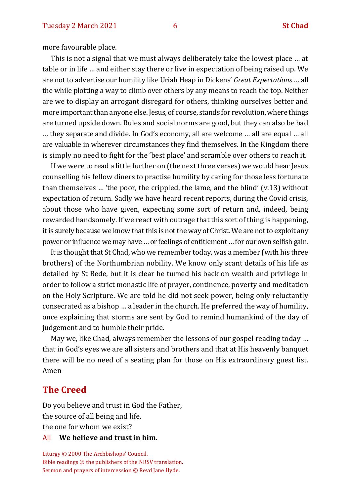more favourable place.

This is not a signal that we must always deliberately take the lowest place … at table or in life … and either stay there or live in expectation of being raised up. We are not to advertise our humility like Uriah Heap in Dickens' *Great Expectations* … all the while plotting a way to climb over others by any means to reach the top. Neither are we to display an arrogant disregard for others, thinking ourselves better and more important than anyone else. Jesus, of course, stands for revolution, where things are turned upside down. Rules and social norms are good, but they can also be bad … they separate and divide. In God's economy, all are welcome … all are equal … all are valuable in wherever circumstances they find themselves. In the Kingdom there is simply no need to fight for the 'best place' and scramble over others to reach it.

If we were to read a little further on (the next three verses) we would hear Jesus counselling his fellow diners to practise humility by caring for those less fortunate than themselves … 'the poor, the crippled, the lame, and the blind' (v.13) without expectation of return. Sadly we have heard recent reports, during the Covid crisis, about those who have given, expecting some sort of return and, indeed, being rewarded handsomely. If we react with outrage that this sort of thing is happening, it is surely because we know that this is not the way of Christ. We are not to exploit any power or influencewe may have … or feelings of entitlement … for our own selfish gain.

It is thought that St Chad, who we remember today, was a member (with his three brothers) of the Northumbrian nobility. We know only scant details of his life as detailed by St Bede, but it is clear he turned his back on wealth and privilege in order to follow a strict monastic life of prayer, continence, poverty and meditation on the Holy Scripture. We are told he did not seek power, being only reluctantly consecrated as a bishop … a leader in the church. He preferred the way of humility, once explaining that storms are sent by God to remind humankind of the day of judgement and to humble their pride.

May we, like Chad, always remember the lessons of our gospel reading today … that in God's eyes we are all sisters and brothers and that at His heavenly banquet there will be no need of a seating plan for those on His extraordinary guest list. Amen

# **The Creed**

Do you believe and trust in God the Father, the source of all being and life, the one for whom we exist?

#### All **We believe and trust in him.**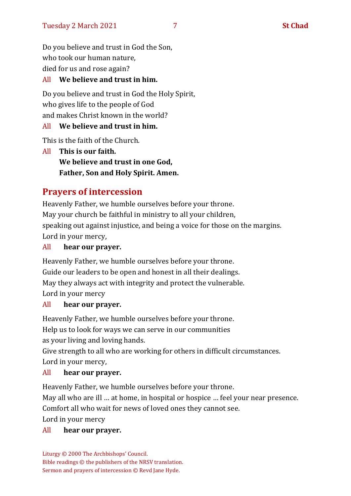Do you believe and trust in God the Son, who took our human nature, died for us and rose again?

#### All **We believe and trust in him.**

Do you believe and trust in God the Holy Spirit, who gives life to the people of God and makes Christ known in the world?

#### All **We believe and trust in him.**

This is the faith of the Church.

All **This is our faith. We believe and trust in one God, Father, Son and Holy Spirit. Amen.**

# **Prayers of intercession**

Heavenly Father, we humble ourselves before your throne. May your church be faithful in ministry to all your children, speaking out against injustice, and being a voice for those on the margins. Lord in your mercy,

#### All **hear our prayer.**

Heavenly Father, we humble ourselves before your throne. Guide our leaders to be open and honest in all their dealings. May they always act with integrity and protect the vulnerable. Lord in your mercy

#### All **hear our prayer.**

Heavenly Father, we humble ourselves before your throne.

Help us to look for ways we can serve in our communities

as your living and loving hands.

Give strength to all who are working for others in difficult circumstances. Lord in your mercy,

#### All **hear our prayer.**

Heavenly Father, we humble ourselves before your throne.

May all who are ill … at home, in hospital or hospice … feel your near presence. Comfort all who wait for news of loved ones they cannot see.

Lord in your mercy

#### All **hear our prayer.**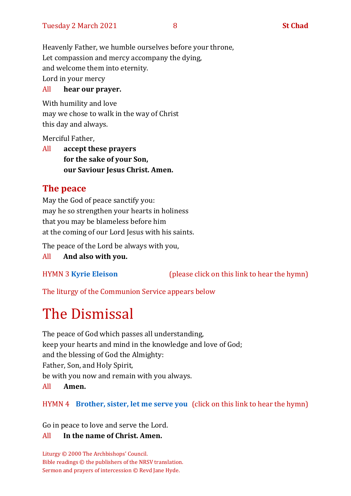Heavenly Father, we humble ourselves before your throne, Let compassion and mercy accompany the dying, and welcome them into eternity.

Lord in your mercy

#### All **hear our prayer.**

With humility and love may we chose to walk in the way of Christ this day and always.

Merciful Father,

All **accept these prayers for the sake of your Son, our Saviour Jesus Christ. Amen.**

# **The peace**

May the God of peace sanctify you: may he so strengthen your hearts in holiness that you may be blameless before him at the coming of our Lord Jesus with his saints.

The peace of the Lord be always with you,

All **And also with you.**

HYMN 3 **[Kyrie Eleison](https://www.youtube.com/watch?v=mAZC4oe9VM0)** (please click on this link to hear the hymn)

The liturgy of the Communion Service appears below

# The Dismissal

The peace of God which passes all understanding, keep your hearts and mind in the knowledge and love of God; and the blessing of God the Almighty: Father, Son, and Holy Spirit, be with you now and remain with you always. All **Amen.**

#### HYMN 4 **[Brother, sister, let me serve you](https://www.youtube.com/watch?v=hlNoxoOocZs)** (click on this link to hear the hymn)

Go in peace to love and serve the Lord.

#### All **In the name of Christ. Amen.**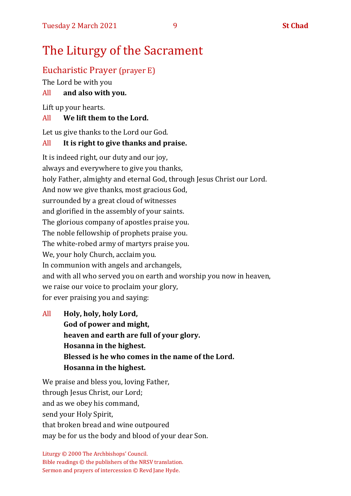# The Liturgy of the Sacrament

# Eucharistic Prayer (prayer E)

The Lord be with you

### All **and also with you.**

Lift up your hearts.

### All **We lift them to the Lord.**

Let us give thanks to the Lord our God.

#### All **It is right to give thanks and praise.**

It is indeed right, our duty and our joy, always and everywhere to give you thanks, holy Father, almighty and eternal God, through Jesus Christ our Lord. And now we give thanks, most gracious God, surrounded by a great cloud of witnesses and glorified in the assembly of your saints. The glorious company of apostles praise you. The noble fellowship of prophets praise you. The white-robed army of martyrs praise you. We, your holy Church, acclaim you. In communion with angels and archangels, and with all who served you on earth and worship you now in heaven, we raise our voice to proclaim your glory, for ever praising you and saying:

All **Holy, holy, holy Lord, God of power and might, heaven and earth are full of your glory. Hosanna in the highest. Blessed is he who comes in the name of the Lord. Hosanna in the highest.**

We praise and bless you, loving Father, through Jesus Christ, our Lord; and as we obey his command, send your Holy Spirit, that broken bread and wine outpoured may be for us the body and blood of your dear Son.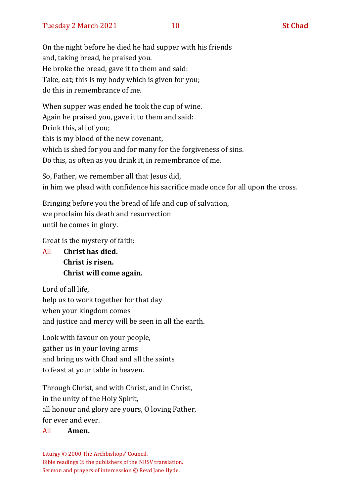On the night before he died he had supper with his friends and, taking bread, he praised you. He broke the bread, gave it to them and said: Take, eat; this is my body which is given for you; do this in remembrance of me.

When supper was ended he took the cup of wine. Again he praised you, gave it to them and said: Drink this, all of you; this is my blood of the new covenant, which is shed for you and for many for the forgiveness of sins. Do this, as often as you drink it, in remembrance of me.

So, Father, we remember all that Jesus did, in him we plead with confidence his sacrifice made once for all upon the cross.

Bringing before you the bread of life and cup of salvation, we proclaim his death and resurrection until he comes in glory.

Great is the mystery of faith:

All **Christ has died. Christ is risen. Christ will come again.**

Lord of all life, help us to work together for that day when your kingdom comes and justice and mercy will be seen in all the earth.

Look with favour on your people, gather us in your loving arms and bring us with Chad and all the saints to feast at your table in heaven.

Through Christ, and with Christ, and in Christ, in the unity of the Holy Spirit, all honour and glory are yours, O loving Father, for ever and ever.

#### All **Amen.**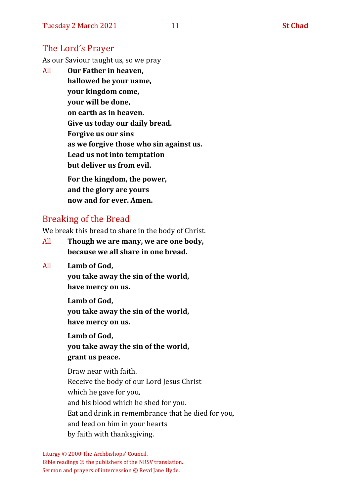# The Lord's Prayer

As our Saviour taught us, so we pray

All **Our Father in heaven, hallowed be your name, your kingdom come, your will be done, on earth as in heaven. Give us today our daily bread. Forgive us our sins as we forgive those who sin against us. Lead us not into temptation but deliver us from evil. For the kingdom, the power,** 

**and the glory are yours now and for ever. Amen.**

# Breaking of the Bread

We break this bread to share in the body of Christ.

- All **Though we are many, we are one body, because we all share in one bread.**
- All **Lamb of God,**

**you take away the sin of the world, have mercy on us.**

**Lamb of God, you take away the sin of the world, have mercy on us.**

**Lamb of God, you take away the sin of the world, grant us peace.**

Draw near with faith. Receive the body of our Lord Jesus Christ which he gave for you, and his blood which he shed for you. Eat and drink in remembrance that he died for you, and feed on him in your hearts by faith with thanksgiving.